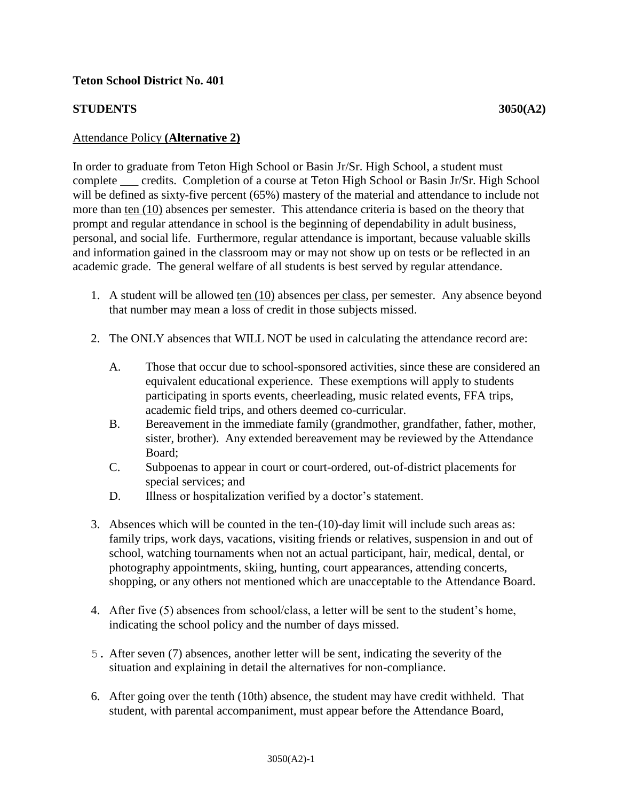## **STUDENTS 3050(A2)**

## Attendance Policy **(Alternative 2)**

In order to graduate from Teton High School or Basin Jr/Sr. High School, a student must complete \_\_\_ credits. Completion of a course at Teton High School or Basin Jr/Sr. High School will be defined as sixty-five percent (65%) mastery of the material and attendance to include not more than ten (10) absences per semester. This attendance criteria is based on the theory that prompt and regular attendance in school is the beginning of dependability in adult business, personal, and social life. Furthermore, regular attendance is important, because valuable skills and information gained in the classroom may or may not show up on tests or be reflected in an academic grade. The general welfare of all students is best served by regular attendance.

- 1. A student will be allowed ten (10) absences per class, per semester. Any absence beyond that number may mean a loss of credit in those subjects missed.
- 2. The ONLY absences that WILL NOT be used in calculating the attendance record are:
	- A. Those that occur due to school-sponsored activities, since these are considered an equivalent educational experience. These exemptions will apply to students participating in sports events, cheerleading, music related events, FFA trips, academic field trips, and others deemed co-curricular.
	- B. Bereavement in the immediate family (grandmother, grandfather, father, mother, sister, brother). Any extended bereavement may be reviewed by the Attendance Board;
	- C. Subpoenas to appear in court or court-ordered, out-of-district placements for special services; and
	- D. Illness or hospitalization verified by a doctor's statement.
- 3. Absences which will be counted in the ten-(10)-day limit will include such areas as: family trips, work days, vacations, visiting friends or relatives, suspension in and out of school, watching tournaments when not an actual participant, hair, medical, dental, or photography appointments, skiing, hunting, court appearances, attending concerts, shopping, or any others not mentioned which are unacceptable to the Attendance Board.
- 4. After five (5) absences from school/class, a letter will be sent to the student's home, indicating the school policy and the number of days missed.
- 5. After seven (7) absences, another letter will be sent, indicating the severity of the situation and explaining in detail the alternatives for non-compliance.
- 6. After going over the tenth (10th) absence, the student may have credit withheld. That student, with parental accompaniment, must appear before the Attendance Board,